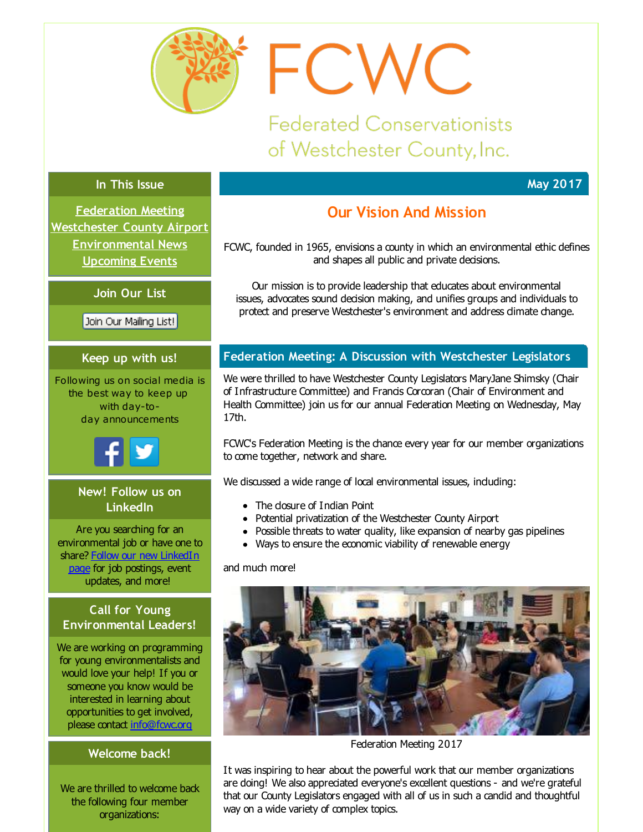<span id="page-0-0"></span>

**Federated Conservationists** of Westchester County, Inc.

FCWC

# **In This Issue**

**May 2017**

**[Federation](#page-0-0) Meeting [Westchester](#page-0-0) County Airport [Environmental](#page-0-0) News [Upcoming](#page-0-0) Events**

**Join Our List**

Join Our Mailing List!

# **Keep up with us!**

Following us on social media is the best way to keep up with day-today announcements



# **New! Follow us on LinkedIn**

Are you searching for an environmental job or have one to share? Follow our new [LinkedIn](http://r20.rs6.net/tn.jsp?f=001sQPl1RiaGL9zCWr1rFikZN0R_oD6WYgexET11UKH2hQA5-ZLO3hY4DElxAdcNru8QLvbyBMmSb96nUaoWwR8TYeT09qdSze-DUl_nb251N5w-l5gwW8i2Krkc5DcwO1DGfHTzGFu4MBoMT-RptqikjnWNmXJ7YA_fE6cYfmIc5Y-iO16elQDijUj8UX9M8SppyKmEd87ZcN3vs4_jODq9w==&c=&ch=) page for job postings, event updates, and more!

# **Call for Young Environmental Leaders!**

We are working on programming for young environmentalists and would love your help! If you or someone you know would be interested in learning about opportunities to get involved, please contact [info@fcwc.org](mailto:info@fcwc.org)

# **Welcome back!**

We are thrilled to welcome back the following four member organizations:

# **Our Vision And Mission**

FCWC, founded in 1965, envisions a county in which an environmental ethic defines and shapes all public and private decisions.

Our mission is to provide leadership that educates about environmental issues, advocates sound decision making, and unifies groups and individuals to protect and preserve Westchester's environment and address climate change.

# **Federation Meeting: A Discussion with Westchester Legislators**

We were thrilled to have Westchester County Legislators MaryJane Shimsky (Chair of Infrastructure Committee) and Francis Corcoran (Chair of Environment and Health Committee) join us for our annual Federation Meeting on Wednesday, May 17th.

FCWC's Federation Meeting is the chance every year for our member organizations to come together, network and share.

We discussed a wide range of local environmental issues, induding:

- The closure of Indian Point
- Potential privatization of the Westchester County Airport
- Possible threats to water quality, like expansion of nearby gas pipelines
- Ways to ensure the economic viability of renewable energy

and much more!



Federation Meeting 2017

It was inspiring to hear about the powerful work that our member organizations are doing! We also appreciated everyone's excellent questions - and we're grateful that our County Legislators engaged with all of us in such a candid and thoughtful way on a wide variety of complex topics.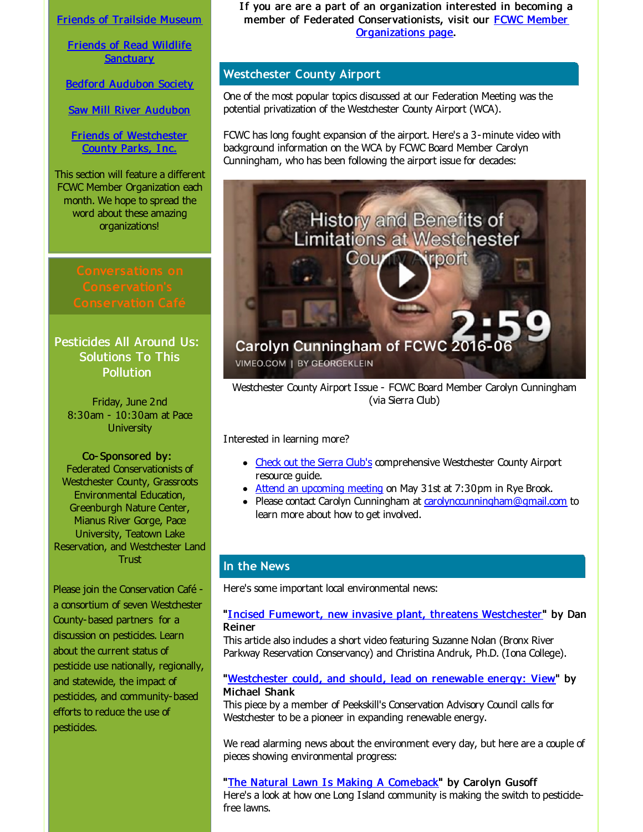Friends of [Trailside](http://r20.rs6.net/tn.jsp?f=001sQPl1RiaGL9zCWr1rFikZN0R_oD6WYgexET11UKH2hQA5-ZLO3hY4OObpEyt62PDd0roDmYqH793ftebatTu5nrIfbH3HRvrU5o1rIR00cUTpZX1kvqxO3q-pcwi4e6aQbl4NMVSQqB5PhbWSQPbmuyRYN3VSvw5z0wGgpc4ZsddRupzNowg6A==&c=&ch=) Museum

Friends of Read Wildlife **[Sanctuary](http://r20.rs6.net/tn.jsp?f=001sQPl1RiaGL9zCWr1rFikZN0R_oD6WYgexET11UKH2hQA5-ZLO3hY4OObpEyt62PDSiwcIqy-1O8SluKBEA3kDpCOuoGPMr9UgvSVKf-OtNguqdtaPnDpi4FZoCUgDz7GhRlDlJaWq2uCL5ZV2F95Vb0jCp4BfucPaD4lG_G4o_0dG4ylMopeii1gUlc8g709sgd8lcOBWCs=&c=&ch=)** 

Bedford [Audubon](http://r20.rs6.net/tn.jsp?f=001sQPl1RiaGL9zCWr1rFikZN0R_oD6WYgexET11UKH2hQA5-ZLO3hY4OObpEyt62PD1WzsZPxHsgo6XSewn3riy7H-Ws1D3eSvq0_yFSE45VKj5ekovfqDV0ELwwIlTFPic6r2OOf-pG438gygC7h8Gyw0Br0Rp-OeipnXwc8VIcI=&c=&ch=) Society

Saw Mill River [Audubon](http://r20.rs6.net/tn.jsp?f=001sQPl1RiaGL9zCWr1rFikZN0R_oD6WYgexET11UKH2hQA5-ZLO3hY4DNBVnwvbrxotVhzG96aWx9BKgJ1XJ8ZKu2akHuoSRB-hYnOjj3Eu6t7CSzSAsXmdWsZI_H8agw88WlpZkpyIrA9km6xzOS8S-Gz5UXE3NZJXig10QvniqTyABoxctjhYg==&c=&ch=)

Friends of [Westchester](http://r20.rs6.net/tn.jsp?f=001sQPl1RiaGL9zCWr1rFikZN0R_oD6WYgexET11UKH2hQA5-ZLO3hY4OFLA5k-8Fq79xLzkoVJ0znquEuqTkYHh0WR4j5HNoFFxKwOAoY1afot1GS4A5-J0TxGV-7bL0nuU0a4XSsPRtQ3Ye5tReVTmxTcKwBEuq_sQ1c3NeXSWiAitGGR6_BcSPhUZ8niKR0U&c=&ch=) County Parks, Inc.

This section will feature a different FCWC Member Organization each month. We hope to spread the word about these amazing organizations!

Pesticides All Around Us: Solutions To This **Pollution** 

Friday, June 2nd 8:30am - 10:30am at Pace **University** 

Co- Sponsored by: Federated Conservationists of Westchester County, Grassroots Environmental Education, Greenburgh Nature Center, Mianus River Gorge, Pace University, Teatown Lake Reservation, and Westchester Land Trust

Please join the Conservation Café a consortium of seven Westchester County-based partners for a discussion on pesticides. Learn about the current status of pesticide use nationally, regionally, and statewide, the impact of pesticides, and community-based efforts to reduce the use of pesticides.

If you are are a part of an organization interested in becoming a member of Federated [Conservationists,](http://r20.rs6.net/tn.jsp?f=001sQPl1RiaGL9zCWr1rFikZN0R_oD6WYgexET11UKH2hQA5-ZLO3hY4EBHYpb9_thcSwyVA2D0_RbV0on2mOQg_ao07HLWwzwvF_4eRxrrjabr6d_FMsksttiYunRVCYM1iIcziGo3km1_iFrO7rAnW5AMevh1t3uVRKFP0nmIuVvYH1EoTIfPHlcZgHprSSxKQH4LcNt_DS1Ra2EY_bfjrA==&c=&ch=) visit our FCWC Member Organizations page.

# **Westchester County Airport**

One of the most popular topics discussed at our Federation Meeting was the potential privatization of the Westchester County Airport (WCA).

FCWC has long fought expansion of the airport. Here's a 3-minute video with background information on the WCA by FCWC Board Member Carolyn Cunningham, who has been following the airport issue for decades:



Westchester County Airport Issue - FCWC Board Member Carolyn Cunningham (via Sierra Club)

Interested in learning more?

- Check out the [Sierra](http://r20.rs6.net/tn.jsp?f=001sQPl1RiaGL9zCWr1rFikZN0R_oD6WYgexET11UKH2hQA5-ZLO3hY4OObpEyt62PD3BIZLmcHS0bPL2li8kSaHblFI6MdBY6uxweme5nBHFHR8da5u0VCzw5FuZo1PzppnWf5X22V5tbD3cscUfBH9EQTYE0es_BfVapC8IMA0OlrLkbU3ulMvB6xm-p8iWNSLdpWCYYe95ToC7g_oAsr_q1x-PFa9DT14Ow8Vo80Cgab-LCCvgqF-Q==&c=&ch=) Club's comprehensive Westchester County Airport resource quide.
- Attend an [upcoming](http://r20.rs6.net/tn.jsp?f=001sQPl1RiaGL9zCWr1rFikZN0R_oD6WYgexET11UKH2hQA5-ZLO3hY4OObpEyt62PDrQ70wVeM_XTM-eXb9NEYaUQkHgwwhFbYGPmWvpth6F2AncPVM43lYnS1pVtvjrZkywDJ-sUsDCoTeZYHfS10H1RJBGh9E9bSanJ6PCMBrTqi3_qv75BXi_V7LJioYDQu6ZyKJnvOdebycORZOCVfwiYDxLytfDKpXwRjemIi4ziHv1-PThFljD9XLZLfcgCao5ass2h9mrPhZ1YtAUPVuYlApf9GLFZb&c=&ch=) meeting on May 31st at 7:30pm in Rye Brook.
- Please contact Carolyn Cunningham at [carolynccunningham@gmail.com](mailto:carolynccunningham@gmail.com) to learn more about how to get involved.

# **In the News**

Here's some important local environmental news:

#### "Incised Fumewort, new invasive plant, threatens [Westchester](http://r20.rs6.net/tn.jsp?f=001sQPl1RiaGL9zCWr1rFikZN0R_oD6WYgexET11UKH2hQA5-ZLO3hY4OObpEyt62PDHVZ7XUiL3Ghn6AaHBYj8d43eNKwHi5R9E0oI7eOhGgULUit7nKY_0UWizp-y8ht5ShFLc7_GaKoDWgtR36LqxO4xe-mSeK9jl90lCKKi0MZ261lBx5ziukICNB3VrzHHI96f7yDvGh8hMJp4j5QUy1Pm_PRLOx1Qk6a1ZT_ijWKS48MW4c_HLSjciWMSCPnBtj8IwAWRO3wASpzAWUDP0BsevDPqzNOlyGkajthEkVrau3Xm43dhItwIoMhbH22d&c=&ch=)" by Dan Reiner

This artide also indudes a short video featuring Suzanne Nolan (Bronx River Parkway Reservation Conservancy) and Christina Andruk, Ph.D. (Iona College).

#### "[Westchester](http://r20.rs6.net/tn.jsp?f=001sQPl1RiaGL9zCWr1rFikZN0R_oD6WYgexET11UKH2hQA5-ZLO3hY4OObpEyt62PDoZScrQSIznytqLquKUGkNNkv-PA1J4Kj6Yf22tdfMq9AivfgKZaJDvwRP56MfGIMCE_COH3Rhagqmnq5i7atAhdE17-GX2-Rpx_fC3SJ7kiQ9phS6vUKht76pRpofo6E8yIODWawdKpm8VoYW10f76yPDUrJVzxkVJWF2BjZ8zajiX0TuOgSzehEFJzpOfEu5xkoG3jvV_ZwLXmg5TV7ddI0-LH02Q5nbL3fPxV7t6w-YaGgdZT9YQ==&c=&ch=) could, and should, lead on renewable energy: View" by Michael Shank

This piece by a member of Peekskill's Conservation Advisory Council calls for Westchester to be a pioneer in expanding renewable energy.

We read alarming news about the environment every day, but here are a couple of pieces showing environmental progress:

"The Natural Lawn Is Making A [Comeback](http://r20.rs6.net/tn.jsp?f=001sQPl1RiaGL9zCWr1rFikZN0R_oD6WYgexET11UKH2hQA5-ZLO3hY4OObpEyt62PDvIk-WVR1PCiSZRxJSVQN2SLDWNTICYFmpsHYrTnEnicW3k1a5oh0jh7mrl1VqS_WdzKGZ27Y-PhgWeOCnh1TpJ_X6O5iShOL1qJIuV6gEZZb6VNHHhKUsE8vFWhErmpDQB_ukSieo0HagiVUt57fMBhG8uCGVxDnMWXuuKu-Q7zW5TDCgK-BWSO5xHtWBs8e&c=&ch=)" by Carolyn Gusoff Here's a look at how one Long Island community is making the switch to pesticidefree lawns.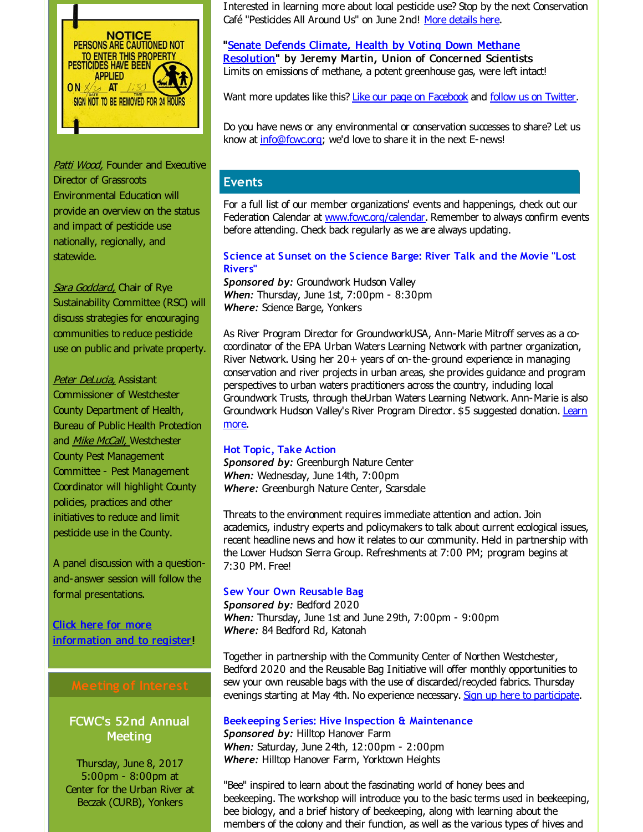

Patti Wood, Founder and Executive Director of Grassroots Environmental Education will provide an overview on the status and impact of pesticide use nationally, regionally, and statewide.

Sara Goddard, Chair of Rye Sustainability Committee (RSC) will discuss strategies for encouraging communities to reduce pesticide use on public and private property.

Peter DeLucia, Assistant Commissioner of Westchester County Department of Health, Bureau of Public Health Protection and Mike McCall, Westchester County Pest Management Committee - Pest Management Coordinator will highlight County policies, practices and other initiatives to reduce and limit pesticide use in the County.

A panel discussion with a questionand-answer session will follow the formal presentations.

Click here for more [information](http://r20.rs6.net/tn.jsp?f=001sQPl1RiaGL9zCWr1rFikZN0R_oD6WYgexET11UKH2hQA5-ZLO3hY4OObpEyt62PDnLY6yGvcex-2BMMedhCq3n4LP2U4Q3YltnRCpVzN_4N_wCQQ9Uay99Vn-q64mRGzr6f_rYUlh9qXZxvLIgNJxReJzTgpicROxycA2AbmsB0u1-e0K38xk-CRNNvshC6nG9jLb7IxO7yo0FwlIIF28SjWe7WGY0eBiYqJSNicUjt76dBsnFBHW-v6Q0BH05Blr8vuzbj8JuJeTSoAeSXy5w==&c=&ch=) and to register!

# FCWC's 52nd Annual **Meeting**

Thursday, June 8, 2017 5:00pm - 8:00pm at Center for the Urban River at Beczak (CURB), Yonkers

Interested in learning more about local pesticide use? Stop by the next Conservation Café "Pesticides All Around Us" on June 2nd! More [details](http://r20.rs6.net/tn.jsp?f=001sQPl1RiaGL9zCWr1rFikZN0R_oD6WYgexET11UKH2hQA5-ZLO3hY4OObpEyt62PDnLY6yGvcex-2BMMedhCq3n4LP2U4Q3YltnRCpVzN_4N_wCQQ9Uay99Vn-q64mRGzr6f_rYUlh9qXZxvLIgNJxReJzTgpicROxycA2AbmsB0u1-e0K38xk-CRNNvshC6nG9jLb7IxO7yo0FwlIIF28SjWe7WGY0eBiYqJSNicUjt76dBsnFBHW-v6Q0BH05Blr8vuzbj8JuJeTSoAeSXy5w==&c=&ch=) here.

"Senate Defends Climate, Health by Voting Down Methane [Resolution"](http://r20.rs6.net/tn.jsp?f=001sQPl1RiaGL9zCWr1rFikZN0R_oD6WYgexET11UKH2hQA5-ZLO3hY4OObpEyt62PDs036mP8bLaKjz9jMFfd9oyqIj5vn-a2u6uvtm67jNEisydtYzw9Enw6JpYfm9n-RayEbHp-rlZTJK16BngpCijb9tTsSRtD8GSzKSfv70JFtDv5vRL-Bco5vvhxsbJamLblTuQ1qsI8FsBpggbSVnwB3f9OS4LOQ7NEsEoF6xfSICcFb7PlqOg==&c=&ch=) by Jeremy Martin, Union of Concerned Scientists Limits on emissions of methane, a potent greenhouse gas, were left intact!

Want more updates like this? Like our page on [Facebook](http://r20.rs6.net/tn.jsp?f=001sQPl1RiaGL9zCWr1rFikZN0R_oD6WYgexET11UKH2hQA5-ZLO3hY4CntrMymC1849XiNUqxdizFN2aAM3zRcUFzGjkopnjA5QN-Ulqs22IUjOjZJcXhCgd2EHo6ujhuHZjCTDALbZ7RFQwmawIKXYHlK61EmxFej-MHmLVwuz42bqYMCOQzWHWNmed_vxVwk3fnfEU1NTJozPh1PEIw5oQeLL7AxLFn5a2B269uOG4rfts-BwpDqZfsm9umU7xa4Rl-LlfnHh-uSWItnCe0tKw==&c=&ch=) and follow us on [Twitter](http://r20.rs6.net/tn.jsp?f=001sQPl1RiaGL9zCWr1rFikZN0R_oD6WYgexET11UKH2hQA5-ZLO3hY4AqsAdlzWNoItv3xM42tWbluPy6T08uwICJnHoiE-2Nl5kNqQZrUs6d1Q9cqKfrGHridIYElK52V4UoYxzay8m6ZaJcshhcIj52WpMywRjXf-_c4JJHD14g=&c=&ch=).

Do you have news or any environmental or conservation successes to share? Let us know at [info@fcwc.org](mailto:info@fcwc.org); we'd love to share it in the next E-news!

# **Events**

For a full list of our member organizations' events and happenings, check out our Federation Calendar at **[www.fcwc.org/calendar](http://r20.rs6.net/tn.jsp?f=001sQPl1RiaGL9zCWr1rFikZN0R_oD6WYgexET11UKH2hQA5-ZLO3hY4NXnYxjSdBeUS4dLdFjS0FG-3uqzQAU8378H07nCSX-DZwbtKhx-tQQdnqhOTT-_zmqs4eIVDjPZbTdyC7IL8jgq5pEKEvvhq6LbvOFjYGlkCSWSN-T30VMvBiBrS9hFTI0OZCezvDYL&c=&ch=)**. Remember to always confirm events before attending. Check back regularly as we are always updating.

#### **Science at Sunset on the Science Barge: River Talk and the Movie "Lost Rivers"**

*Sponsored by:* Groundwork Hudson Valley *When:* Thursday, June 1st, 7:00pm - 8:30pm *Where:* Science Barge, Yonkers

As River Program Director for GroundworkUSA, Ann-Marie Mitroff serves as a cocoordinator of the EPA Urban Waters Learning Network with partner organization, River Network. Using her 20+ years of on-the-ground experience in managing conservation and river projects in urban areas, she provides guidance and program perspectives to urban waters practitioners across the country, including local Groundwork Trusts, through theUrban Waters Learning Network. Ann-Marie is also [Groundwork](http://r20.rs6.net/tn.jsp?f=001sQPl1RiaGL9zCWr1rFikZN0R_oD6WYgexET11UKH2hQA5-ZLO3hY4OObpEyt62PDOChSeBrZObNEJw-G0AK8cXYMQxz5BwuIkoAK5bl6O9lZKhC8Z7S98uD5TO2SY1OuYKI4EF31FsF8mYV2IZQD7V40WFsD61k9G-VTHg9REe2ah7SVXikQ3l9ZK30D9vLa2yXRKsNzH7R9_FcUsZshgYXm5OkECgLhTDMsdT6UjqyiMAaf_tU3l8NJNj03LRvzyf7s1Eyt34CGOenkqVNQTQ==&c=&ch=) Hudson Valley's River Program Director. \$5 suggested donation. Learn more.

### **Hot Topic, Take Action**

*Sponsored by:* Greenburgh Nature Center *When:* Wednesday, June 14th, 7:00pm *Where:* Greenburgh Nature Center, Scarsdale

Threats to the environment requires immediate attention and action. Join academics, industry experts and policymakers to talk about current ecological issues, recent headline news and how it relates to our community. Held in partnership with the Lower Hudson Sierra Group. Refreshments at 7:00 PM; program begins at 7:30 PM. Free!

# **Sew Your Own Reusable Bag**

*Sponsored by:* Bedford 2020 *When:* Thursday, June 1st and June 29th, 7:00pm - 9:00pm *Where:* 84 Bedford Rd, Katonah

Together in partnership with the Community Center of Northen Westchester, Bedford 2020 and the Reusable Bag Initiative will offer monthly opportunities to sew your own reusable bags with the use of discarded/recycled fabrics. Thursday evenings starting at May 4th. No experience necessary. Sign up here to [participate](http://r20.rs6.net/tn.jsp?f=001sQPl1RiaGL9zCWr1rFikZN0R_oD6WYgexET11UKH2hQA5-ZLO3hY4OObpEyt62PDVpkx4qLTs7wa7Z9DaV0lCcA8dRt1I39w1DIit1xWHC0EzqFVwMNOL4j9cIqKUYZWW3dcihVNEz8ueyEXX8um3kK31noWxHpR2FI5sK4eWsYoXyXoYv5pldpmNfQ87nFXU00Krhx4vaeOC2md0ZX8z6yVwg7r8n11H4kBmzE39WdI1XTfUkfCuM6BBxG-pQrXJiDbHpqeR3zTCxwJy7F4JA==&c=&ch=).

### **Beekeeping Series: Hive Inspection & Maintenance**

*Sponsored by:* Hilltop Hanover Farm *When:* Saturday, June 24th, 12:00pm - 2:00pm *Where:* Hilltop Hanover Farm, Yorktown Heights

"Bee" inspired to learn about the fascinating world of honey bees and beekeeping. The workshop will introduce you to the basic terms used in beekeeping, bee biology, and a brief history of beekeeping, along with learning about the members of the colony and their function, as well as the various types of hives and